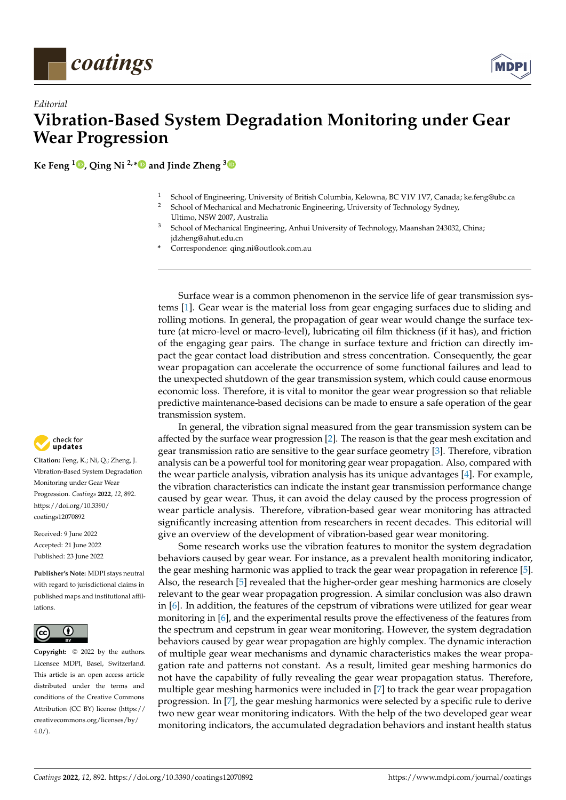



**Ke Feng <sup>1</sup> [,](https://orcid.org/0000-0003-2338-5161) Qing Ni 2,[\\*](https://orcid.org/0000-0001-7537-3934) and Jinde Zheng [3](https://orcid.org/0000-0001-5735-4916)**

- <sup>1</sup> School of Engineering, University of British Columbia, Kelowna, BC V1V 1V7, Canada; ke.feng@ubc.ca
- <sup>2</sup> School of Mechanical and Mechatronic Engineering, University of Technology Sydney, Ultimo, NSW 2007, Australia
- <sup>3</sup> School of Mechanical Engineering, Anhui University of Technology, Maanshan 243032, China; jdzheng@ahut.edu.cn
- **\*** Correspondence: qing.ni@outlook.com.au

Surface wear is a common phenomenon in the service life of gear transmission systems [\[1\]](#page-2-0). Gear wear is the material loss from gear engaging surfaces due to sliding and rolling motions. In general, the propagation of gear wear would change the surface texture (at micro-level or macro-level), lubricating oil film thickness (if it has), and friction of the engaging gear pairs. The change in surface texture and friction can directly impact the gear contact load distribution and stress concentration. Consequently, the gear wear propagation can accelerate the occurrence of some functional failures and lead to the unexpected shutdown of the gear transmission system, which could cause enormous economic loss. Therefore, it is vital to monitor the gear wear progression so that reliable predictive maintenance-based decisions can be made to ensure a safe operation of the gear transmission system.

In general, the vibration signal measured from the gear transmission system can be affected by the surface wear progression [\[2\]](#page-2-1). The reason is that the gear mesh excitation and gear transmission ratio are sensitive to the gear surface geometry [\[3\]](#page-2-2). Therefore, vibration analysis can be a powerful tool for monitoring gear wear propagation. Also, compared with the wear particle analysis, vibration analysis has its unique advantages [\[4\]](#page-2-3). For example, the vibration characteristics can indicate the instant gear transmission performance change caused by gear wear. Thus, it can avoid the delay caused by the process progression of wear particle analysis. Therefore, vibration-based gear wear monitoring has attracted significantly increasing attention from researchers in recent decades. This editorial will give an overview of the development of vibration-based gear wear monitoring.

Some research works use the vibration features to monitor the system degradation behaviors caused by gear wear. For instance, as a prevalent health monitoring indicator, the gear meshing harmonic was applied to track the gear wear propagation in reference [\[5\]](#page-2-4). Also, the research [\[5\]](#page-2-4) revealed that the higher-order gear meshing harmonics are closely relevant to the gear wear propagation progression. A similar conclusion was also drawn in [\[6\]](#page-2-5). In addition, the features of the cepstrum of vibrations were utilized for gear wear monitoring in [\[6\]](#page-2-5), and the experimental results prove the effectiveness of the features from the spectrum and cepstrum in gear wear monitoring. However, the system degradation behaviors caused by gear wear propagation are highly complex. The dynamic interaction of multiple gear wear mechanisms and dynamic characteristics makes the wear propagation rate and patterns not constant. As a result, limited gear meshing harmonics do not have the capability of fully revealing the gear wear propagation status. Therefore, multiple gear meshing harmonics were included in [\[7\]](#page-2-6) to track the gear wear propagation progression. In [\[7\]](#page-2-6), the gear meshing harmonics were selected by a specific rule to derive two new gear wear monitoring indicators. With the help of the two developed gear wear monitoring indicators, the accumulated degradation behaviors and instant health status



**Citation:** Feng, K.; Ni, Q.; Zheng, J. Vibration-Based System Degradation Monitoring under Gear Wear Progression. *Coatings* **2022**, *12*, 892. [https://doi.org/10.3390/](https://doi.org/10.3390/coatings12070892) [coatings12070892](https://doi.org/10.3390/coatings12070892)

Received: 9 June 2022 Accepted: 21 June 2022 Published: 23 June 2022

**Publisher's Note:** MDPI stays neutral with regard to jurisdictional claims in published maps and institutional affiliations.



**Copyright:** © 2022 by the authors. Licensee MDPI, Basel, Switzerland. This article is an open access article distributed under the terms and conditions of the Creative Commons Attribution (CC BY) license [\(https://](https://creativecommons.org/licenses/by/4.0/) [creativecommons.org/licenses/by/](https://creativecommons.org/licenses/by/4.0/)  $4.0/$ ).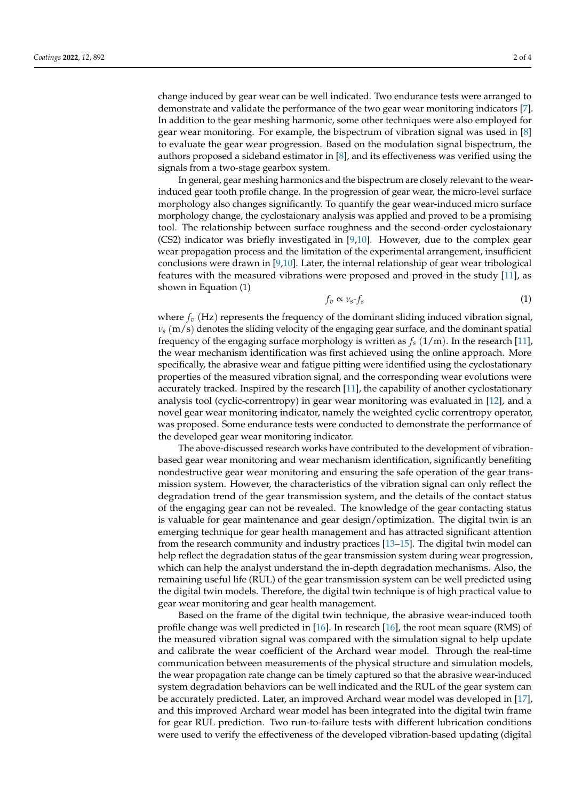change induced by gear wear can be well indicated. Two endurance tests were arranged to demonstrate and validate the performance of the two gear wear monitoring indicators [\[7\]](#page-2-6). In addition to the gear meshing harmonic, some other techniques were also employed for gear wear monitoring. For example, the bispectrum of vibration signal was used in [\[8\]](#page-2-7) to evaluate the gear wear progression. Based on the modulation signal bispectrum, the authors proposed a sideband estimator in [\[8\]](#page-2-7), and its effectiveness was verified using the signals from a two-stage gearbox system.

In general, gear meshing harmonics and the bispectrum are closely relevant to the wearinduced gear tooth profile change. In the progression of gear wear, the micro-level surface morphology also changes significantly. To quantify the gear wear-induced micro surface morphology change, the cyclostaionary analysis was applied and proved to be a promising tool. The relationship between surface roughness and the second-order cyclostaionary (CS2) indicator was briefly investigated in [\[9,](#page-2-8)[10\]](#page-2-9). However, due to the complex gear wear propagation process and the limitation of the experimental arrangement, insufficient conclusions were drawn in [\[9](#page-2-8)[,10\]](#page-2-9). Later, the internal relationship of gear wear tribological features with the measured vibrations were proposed and proved in the study [\[11\]](#page-2-10), as shown in Equation (1)

$$
f_v \propto \nu_s \cdot f_s \tag{1}
$$

where  $f_\nu$  (Hz) represents the frequency of the dominant sliding induced vibration signal,  $v_s$  (m/s) denotes the sliding velocity of the engaging gear surface, and the dominant spatial frequency of the engaging surface morphology is written as  $f_s(1/m)$ . In the research [\[11\]](#page-2-10), the wear mechanism identification was first achieved using the online approach. More specifically, the abrasive wear and fatigue pitting were identified using the cyclostationary properties of the measured vibration signal, and the corresponding wear evolutions were accurately tracked. Inspired by the research [\[11\]](#page-2-10), the capability of another cyclostationary analysis tool (cyclic-correntropy) in gear wear monitoring was evaluated in [\[12\]](#page-2-11), and a novel gear wear monitoring indicator, namely the weighted cyclic correntropy operator, was proposed. Some endurance tests were conducted to demonstrate the performance of the developed gear wear monitoring indicator.

The above-discussed research works have contributed to the development of vibrationbased gear wear monitoring and wear mechanism identification, significantly benefiting nondestructive gear wear monitoring and ensuring the safe operation of the gear transmission system. However, the characteristics of the vibration signal can only reflect the degradation trend of the gear transmission system, and the details of the contact status of the engaging gear can not be revealed. The knowledge of the gear contacting status is valuable for gear maintenance and gear design/optimization. The digital twin is an emerging technique for gear health management and has attracted significant attention from the research community and industry practices [\[13–](#page-2-12)[15\]](#page-2-13). The digital twin model can help reflect the degradation status of the gear transmission system during wear progression, which can help the analyst understand the in-depth degradation mechanisms. Also, the remaining useful life (RUL) of the gear transmission system can be well predicted using the digital twin models. Therefore, the digital twin technique is of high practical value to gear wear monitoring and gear health management.

Based on the frame of the digital twin technique, the abrasive wear-induced tooth profile change was well predicted in [\[16\]](#page-2-14). In research [\[16\]](#page-2-14), the root mean square (RMS) of the measured vibration signal was compared with the simulation signal to help update and calibrate the wear coefficient of the Archard wear model. Through the real-time communication between measurements of the physical structure and simulation models, the wear propagation rate change can be timely captured so that the abrasive wear-induced system degradation behaviors can be well indicated and the RUL of the gear system can be accurately predicted. Later, an improved Archard wear model was developed in [\[17\]](#page-3-0), and this improved Archard wear model has been integrated into the digital twin frame for gear RUL prediction. Two run-to-failure tests with different lubrication conditions were used to verify the effectiveness of the developed vibration-based updating (digital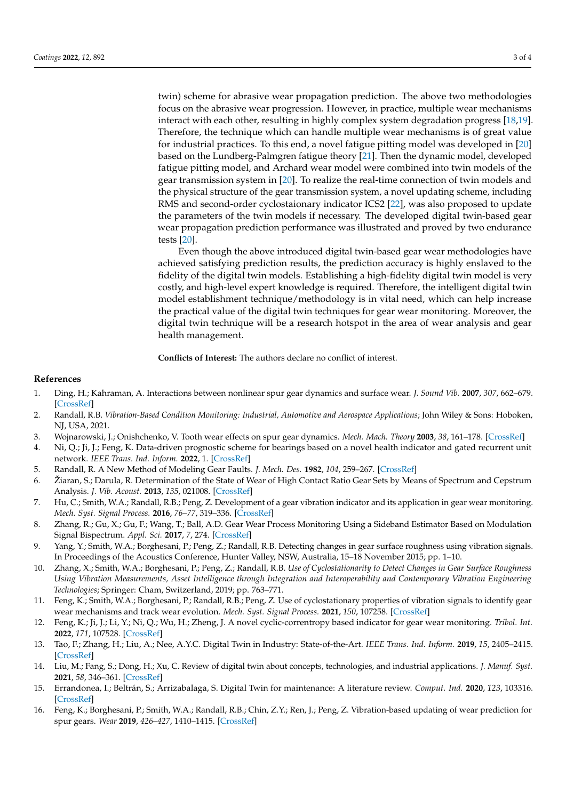twin) scheme for abrasive wear propagation prediction. The above two methodologies focus on the abrasive wear progression. However, in practice, multiple wear mechanisms interact with each other, resulting in highly complex system degradation progress [\[18,](#page-3-1)[19\]](#page-3-2). Therefore, the technique which can handle multiple wear mechanisms is of great value for industrial practices. To this end, a novel fatigue pitting model was developed in [\[20\]](#page-3-3) based on the Lundberg-Palmgren fatigue theory [\[21\]](#page-3-4). Then the dynamic model, developed fatigue pitting model, and Archard wear model were combined into twin models of the gear transmission system in [\[20\]](#page-3-3). To realize the real-time connection of twin models and the physical structure of the gear transmission system, a novel updating scheme, including RMS and second-order cyclostaionary indicator ICS2 [\[22\]](#page-3-5), was also proposed to update the parameters of the twin models if necessary. The developed digital twin-based gear wear propagation prediction performance was illustrated and proved by two endurance tests [\[20\]](#page-3-3).

Even though the above introduced digital twin-based gear wear methodologies have achieved satisfying prediction results, the prediction accuracy is highly enslaved to the fidelity of the digital twin models. Establishing a high-fidelity digital twin model is very costly, and high-level expert knowledge is required. Therefore, the intelligent digital twin model establishment technique/methodology is in vital need, which can help increase the practical value of the digital twin techniques for gear wear monitoring. Moreover, the digital twin technique will be a research hotspot in the area of wear analysis and gear health management.

**Conflicts of Interest:** The authors declare no conflict of interest.

## **References**

- <span id="page-2-0"></span>1. Ding, H.; Kahraman, A. Interactions between nonlinear spur gear dynamics and surface wear. *J. Sound Vib.* **2007**, *307*, 662–679. [\[CrossRef\]](http://doi.org/10.1016/j.jsv.2007.06.030)
- <span id="page-2-1"></span>2. Randall, R.B. *Vibration-Based Condition Monitoring: Industrial, Automotive and Aerospace Applications*; John Wiley & Sons: Hoboken, NJ, USA, 2021.
- <span id="page-2-2"></span>3. Wojnarowski, J.; Onishchenko, V. Tooth wear effects on spur gear dynamics. *Mech. Mach. Theory* **2003**, *38*, 161–178. [\[CrossRef\]](http://doi.org/10.1016/S0094-114X(02)00091-5)
- <span id="page-2-3"></span>4. Ni, Q.; Ji, J.; Feng, K. Data-driven prognostic scheme for bearings based on a novel health indicator and gated recurrent unit network. *IEEE Trans. Ind. Inform.* **2022**, 1. [\[CrossRef\]](http://doi.org/10.1109/TII.2022.3169465)
- <span id="page-2-4"></span>5. Randall, R. A New Method of Modeling Gear Faults. *J. Mech. Des.* **1982**, *104*, 259–267. [\[CrossRef\]](http://doi.org/10.1115/1.3256334)
- <span id="page-2-5"></span>6. Žiaran, S.; Darula, R. Determination of the State of Wear of High Contact Ratio Gear Sets by Means of Spectrum and Cepstrum Analysis. *J. Vib. Acoust.* **2013**, *135*, 021008. [\[CrossRef\]](http://doi.org/10.1115/1.4023208)
- <span id="page-2-6"></span>7. Hu, C.; Smith, W.A.; Randall, R.B.; Peng, Z. Development of a gear vibration indicator and its application in gear wear monitoring. *Mech. Syst. Signal Process.* **2016**, *76–77*, 319–336. [\[CrossRef\]](http://doi.org/10.1016/j.ymssp.2016.01.018)
- <span id="page-2-7"></span>8. Zhang, R.; Gu, X.; Gu, F.; Wang, T.; Ball, A.D. Gear Wear Process Monitoring Using a Sideband Estimator Based on Modulation Signal Bispectrum. *Appl. Sci.* **2017**, *7*, 274. [\[CrossRef\]](http://doi.org/10.3390/app7030274)
- <span id="page-2-8"></span>9. Yang, Y.; Smith, W.A.; Borghesani, P.; Peng, Z.; Randall, R.B. Detecting changes in gear surface roughness using vibration signals. In Proceedings of the Acoustics Conference, Hunter Valley, NSW, Australia, 15–18 November 2015; pp. 1–10.
- <span id="page-2-9"></span>10. Zhang, X.; Smith, W.A.; Borghesani, P.; Peng, Z.; Randall, R.B. *Use of Cyclostationarity to Detect Changes in Gear Surface Roughness Using Vibration Measurements, Asset Intelligence through Integration and Interoperability and Contemporary Vibration Engineering Technologies*; Springer: Cham, Switzerland, 2019; pp. 763–771.
- <span id="page-2-10"></span>11. Feng, K.; Smith, W.A.; Borghesani, P.; Randall, R.B.; Peng, Z. Use of cyclostationary properties of vibration signals to identify gear wear mechanisms and track wear evolution. *Mech. Syst. Signal Process.* **2021**, *150*, 107258. [\[CrossRef\]](http://doi.org/10.1016/j.ymssp.2020.107258)
- <span id="page-2-11"></span>12. Feng, K.; Ji, J.; Li, Y.; Ni, Q.; Wu, H.; Zheng, J. A novel cyclic-correntropy based indicator for gear wear monitoring. *Tribol. Int.* **2022**, *171*, 107528. [\[CrossRef\]](http://doi.org/10.1016/j.triboint.2022.107528)
- <span id="page-2-12"></span>13. Tao, F.; Zhang, H.; Liu, A.; Nee, A.Y.C. Digital Twin in Industry: State-of-the-Art. *IEEE Trans. Ind. Inform.* **2019**, *15*, 2405–2415. [\[CrossRef\]](http://doi.org/10.1109/TII.2018.2873186)
- 14. Liu, M.; Fang, S.; Dong, H.; Xu, C. Review of digital twin about concepts, technologies, and industrial applications. *J. Manuf. Syst.* **2021**, *58*, 346–361. [\[CrossRef\]](http://doi.org/10.1016/j.jmsy.2020.06.017)
- <span id="page-2-13"></span>15. Errandonea, I.; Beltrán, S.; Arrizabalaga, S. Digital Twin for maintenance: A literature review. *Comput. Ind.* **2020**, *123*, 103316. [\[CrossRef\]](http://doi.org/10.1016/j.compind.2020.103316)
- <span id="page-2-14"></span>16. Feng, K.; Borghesani, P.; Smith, W.A.; Randall, R.B.; Chin, Z.Y.; Ren, J.; Peng, Z. Vibration-based updating of wear prediction for spur gears. *Wear* **2019**, *426–427*, 1410–1415. [\[CrossRef\]](http://doi.org/10.1016/j.wear.2019.01.017)